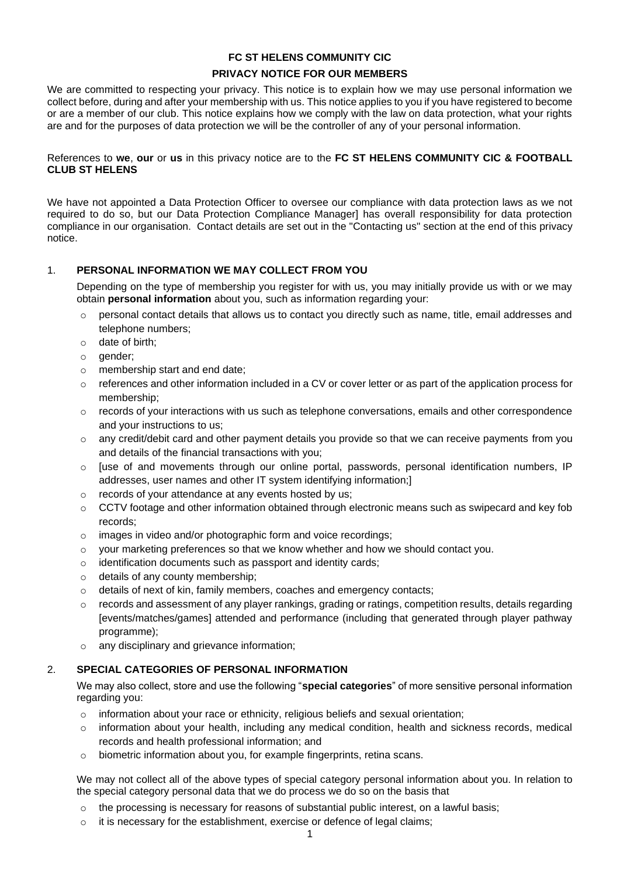# **FC ST HELENS COMMUNITY CIC PRIVACY NOTICE FOR OUR MEMBERS**

We are committed to respecting your privacy. This notice is to explain how we may use personal information we collect before, during and after your membership with us. This notice applies to you if you have registered to become or are a member of our club. This notice explains how we comply with the law on data protection, what your rights are and for the purposes of data protection we will be the controller of any of your personal information.

References to **we**, **our** or **us** in this privacy notice are to the **FC ST HELENS COMMUNITY CIC & FOOTBALL CLUB ST HELENS**

We have not appointed a Data Protection Officer to oversee our compliance with data protection laws as we not required to do so, but our Data Protection Compliance Manager] has overall responsibility for data protection compliance in our organisation. Contact details are set out in the "Contacting us" section at the end of this privacy notice.

# 1. **PERSONAL INFORMATION WE MAY COLLECT FROM YOU**

Depending on the type of membership you register for with us, you may initially provide us with or we may obtain **personal information** about you, such as information regarding your:

- personal contact details that allows us to contact you directly such as name, title, email addresses and telephone numbers;
- o date of birth;
- o gender;
- o membership start and end date;
- $\circ$  references and other information included in a CV or cover letter or as part of the application process for membership;
- $\circ$  records of your interactions with us such as telephone conversations, emails and other correspondence and your instructions to us;
- o any credit/debit card and other payment details you provide so that we can receive payments from you and details of the financial transactions with you;
- $\circ$  [use of and movements through our online portal, passwords, personal identification numbers, IP addresses, user names and other IT system identifying information;]
- o records of your attendance at any events hosted by us;
- $\circ$  CCTV footage and other information obtained through electronic means such as swipecard and key fob records;
- o images in video and/or photographic form and voice recordings;
- $\circ$  your marketing preferences so that we know whether and how we should contact you.
- o identification documents such as passport and identity cards;
- o details of any county membership;
- o details of next of kin, family members, coaches and emergency contacts;
- $\circ$  records and assessment of any player rankings, grading or ratings, competition results, details regarding [events/matches/games] attended and performance (including that generated through player pathway programme);
- any disciplinary and grievance information;

# 2. **SPECIAL CATEGORIES OF PERSONAL INFORMATION**

We may also collect, store and use the following "**special categories**" of more sensitive personal information regarding you:

- $\circ$  information about your race or ethnicity, religious beliefs and sexual orientation;
- $\circ$  information about your health, including any medical condition, health and sickness records, medical records and health professional information; and
- o biometric information about you, for example fingerprints, retina scans.

We may not collect all of the above types of special category personal information about you. In relation to the special category personal data that we do process we do so on the basis that

- $\circ$  the processing is necessary for reasons of substantial public interest, on a lawful basis;
- $\circ$  it is necessary for the establishment, exercise or defence of legal claims;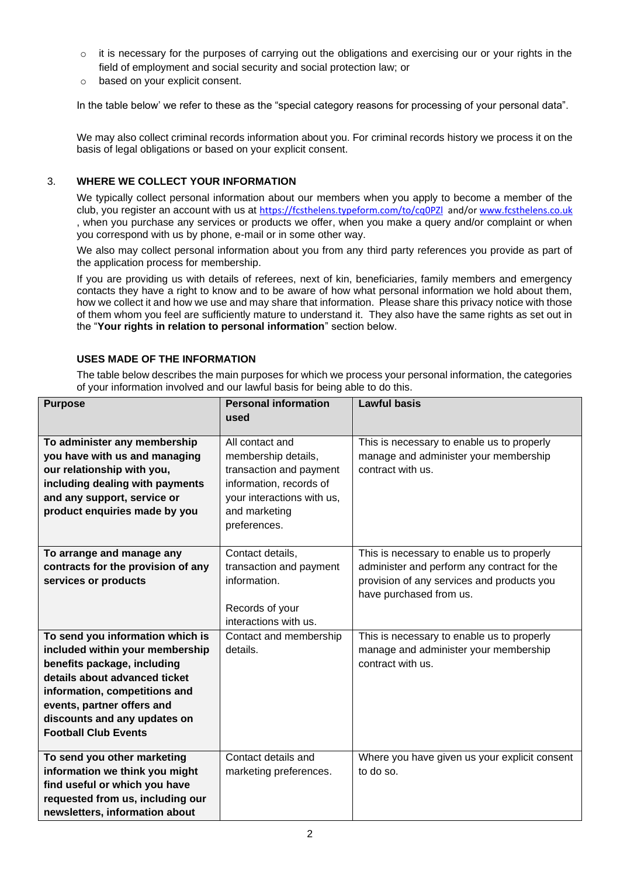- $\circ$  it is necessary for the purposes of carrying out the obligations and exercising our or your rights in the field of employment and social security and social protection law; or
- o based on your explicit consent.

In the table below' we refer to these as the "special category reasons for processing of your personal data".

We may also collect criminal records information about you. For criminal records history we process it on the basis of legal obligations or based on your explicit consent.

# 3. **WHERE WE COLLECT YOUR INFORMATION**

We typically collect personal information about our members when you apply to become a member of the club, you register an account with us at <https://fcsthelens.typeform.com/to/cq0PZl>and/o[r www.fcsthelens.co.uk](http://www.fcsthelens.co.uk/) , when you purchase any services or products we offer, when you make a query and/or complaint or when you correspond with us by phone, e-mail or in some other way.

We also may collect personal information about you from any third party references you provide as part of the application process for membership.

If you are providing us with details of referees, next of kin, beneficiaries, family members and emergency contacts they have a right to know and to be aware of how what personal information we hold about them, how we collect it and how we use and may share that information. Please share this privacy notice with those of them whom you feel are sufficiently mature to understand it. They also have the same rights as set out in the "**Your rights in relation to personal information**" section below.

# **USES MADE OF THE INFORMATION**

The table below describes the main purposes for which we process your personal information, the categories of your information involved and our lawful basis for being able to do this.

| <b>Purpose</b>                     | <b>Personal information</b> | <b>Lawful basis</b>                           |
|------------------------------------|-----------------------------|-----------------------------------------------|
|                                    | used                        |                                               |
|                                    | All contact and             |                                               |
| To administer any membership       |                             | This is necessary to enable us to properly    |
| you have with us and managing      | membership details,         | manage and administer your membership         |
| our relationship with you,         | transaction and payment     | contract with us.                             |
| including dealing with payments    | information, records of     |                                               |
| and any support, service or        | your interactions with us,  |                                               |
| product enquiries made by you      | and marketing               |                                               |
|                                    | preferences.                |                                               |
|                                    |                             |                                               |
| To arrange and manage any          | Contact details,            | This is necessary to enable us to properly    |
| contracts for the provision of any | transaction and payment     | administer and perform any contract for the   |
| services or products               | information.                | provision of any services and products you    |
|                                    |                             | have purchased from us.                       |
|                                    | Records of your             |                                               |
|                                    | interactions with us.       |                                               |
| To send you information which is   | Contact and membership      | This is necessary to enable us to properly    |
| included within your membership    | details.                    | manage and administer your membership         |
| benefits package, including        |                             | contract with us.                             |
| details about advanced ticket      |                             |                                               |
| information, competitions and      |                             |                                               |
| events, partner offers and         |                             |                                               |
| discounts and any updates on       |                             |                                               |
| <b>Football Club Events</b>        |                             |                                               |
|                                    |                             |                                               |
| To send you other marketing        | Contact details and         | Where you have given us your explicit consent |
| information we think you might     | marketing preferences.      | to do so.                                     |
| find useful or which you have      |                             |                                               |
| requested from us, including our   |                             |                                               |
| newsletters, information about     |                             |                                               |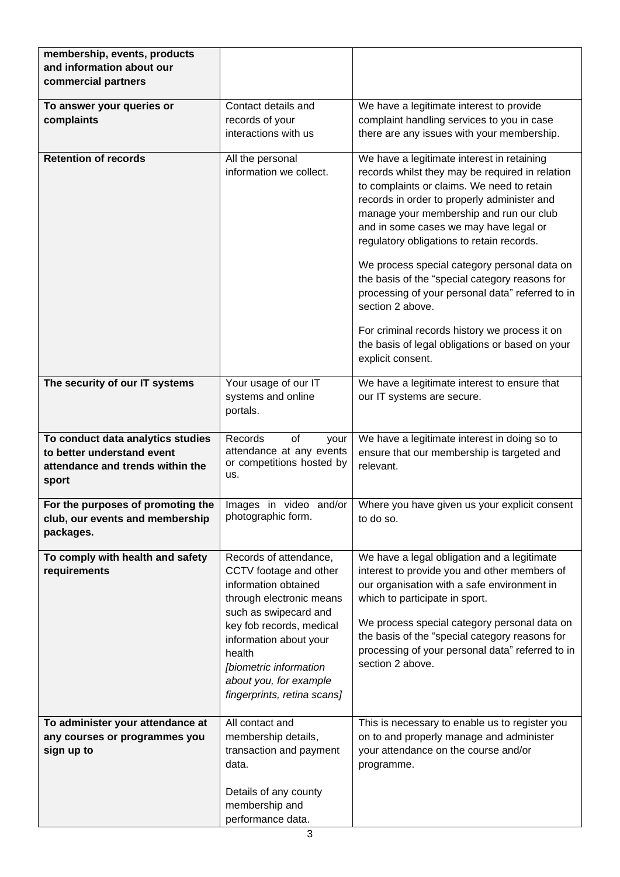| membership, events, products<br>and information about our<br>commercial partners                             |                                                                                                                                                                                                                                                                                  |                                                                                                                                                                                                                                                                                                                                                                                                                                                                                                                                                                                                                                 |
|--------------------------------------------------------------------------------------------------------------|----------------------------------------------------------------------------------------------------------------------------------------------------------------------------------------------------------------------------------------------------------------------------------|---------------------------------------------------------------------------------------------------------------------------------------------------------------------------------------------------------------------------------------------------------------------------------------------------------------------------------------------------------------------------------------------------------------------------------------------------------------------------------------------------------------------------------------------------------------------------------------------------------------------------------|
| To answer your queries or<br>complaints                                                                      | Contact details and<br>records of your<br>interactions with us                                                                                                                                                                                                                   | We have a legitimate interest to provide<br>complaint handling services to you in case<br>there are any issues with your membership.                                                                                                                                                                                                                                                                                                                                                                                                                                                                                            |
| <b>Retention of records</b>                                                                                  | All the personal<br>information we collect.                                                                                                                                                                                                                                      | We have a legitimate interest in retaining<br>records whilst they may be required in relation<br>to complaints or claims. We need to retain<br>records in order to properly administer and<br>manage your membership and run our club<br>and in some cases we may have legal or<br>regulatory obligations to retain records.<br>We process special category personal data on<br>the basis of the "special category reasons for<br>processing of your personal data" referred to in<br>section 2 above.<br>For criminal records history we process it on<br>the basis of legal obligations or based on your<br>explicit consent. |
| The security of our IT systems                                                                               | Your usage of our IT<br>systems and online<br>portals.                                                                                                                                                                                                                           | We have a legitimate interest to ensure that<br>our IT systems are secure.                                                                                                                                                                                                                                                                                                                                                                                                                                                                                                                                                      |
| To conduct data analytics studies<br>to better understand event<br>attendance and trends within the<br>sport | of<br>Records<br>your<br>attendance at any events<br>or competitions hosted by<br>us.                                                                                                                                                                                            | We have a legitimate interest in doing so to<br>ensure that our membership is targeted and<br>relevant.                                                                                                                                                                                                                                                                                                                                                                                                                                                                                                                         |
| For the purposes of promoting the<br>club, our events and membership<br>packages.                            | Images in video and/or<br>photographic form.                                                                                                                                                                                                                                     | Where you have given us your explicit consent<br>to do so.                                                                                                                                                                                                                                                                                                                                                                                                                                                                                                                                                                      |
| To comply with health and safety<br>requirements                                                             | Records of attendance,<br>CCTV footage and other<br>information obtained<br>through electronic means<br>such as swipecard and<br>key fob records, medical<br>information about your<br>health<br>[biometric information<br>about you, for example<br>fingerprints, retina scans] | We have a legal obligation and a legitimate<br>interest to provide you and other members of<br>our organisation with a safe environment in<br>which to participate in sport.<br>We process special category personal data on<br>the basis of the "special category reasons for<br>processing of your personal data" referred to in<br>section 2 above.                                                                                                                                                                                                                                                                          |
| To administer your attendance at<br>any courses or programmes you<br>sign up to                              | All contact and<br>membership details,<br>transaction and payment<br>data.<br>Details of any county<br>membership and<br>performance data.                                                                                                                                       | This is necessary to enable us to register you<br>on to and properly manage and administer<br>your attendance on the course and/or<br>programme.                                                                                                                                                                                                                                                                                                                                                                                                                                                                                |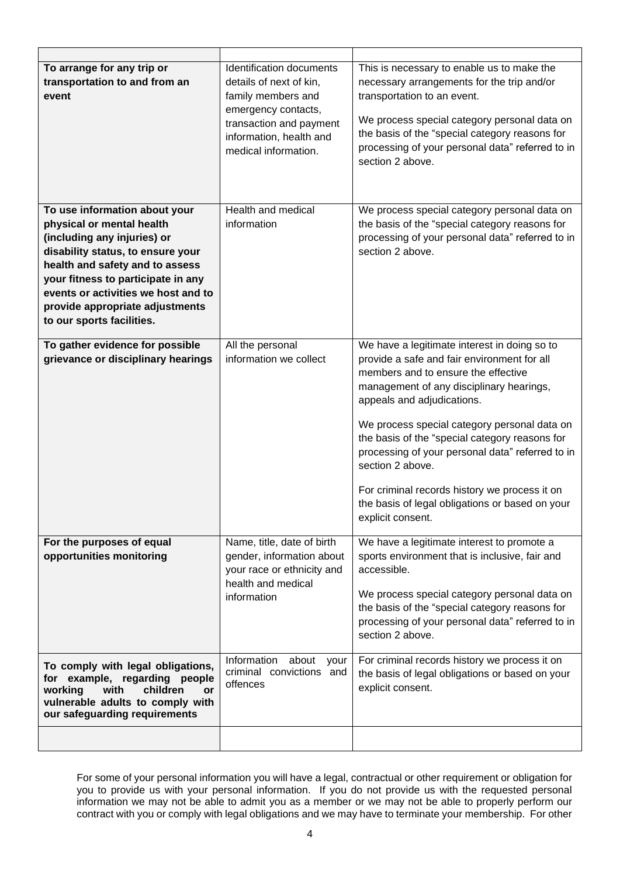| To arrange for any trip or<br>transportation to and from an<br>event                                                                                                                                                                                                                                           | Identification documents<br>details of next of kin,<br>family members and<br>emergency contacts,<br>transaction and payment<br>information, health and<br>medical information. | This is necessary to enable us to make the<br>necessary arrangements for the trip and/or<br>transportation to an event.<br>We process special category personal data on<br>the basis of the "special category reasons for<br>processing of your personal data" referred to in<br>section 2 above.                                                                                                                                                                                                               |
|----------------------------------------------------------------------------------------------------------------------------------------------------------------------------------------------------------------------------------------------------------------------------------------------------------------|--------------------------------------------------------------------------------------------------------------------------------------------------------------------------------|-----------------------------------------------------------------------------------------------------------------------------------------------------------------------------------------------------------------------------------------------------------------------------------------------------------------------------------------------------------------------------------------------------------------------------------------------------------------------------------------------------------------|
| To use information about your<br>physical or mental health<br>(including any injuries) or<br>disability status, to ensure your<br>health and safety and to assess<br>your fitness to participate in any<br>events or activities we host and to<br>provide appropriate adjustments<br>to our sports facilities. | Health and medical<br>information                                                                                                                                              | We process special category personal data on<br>the basis of the "special category reasons for<br>processing of your personal data" referred to in<br>section 2 above.                                                                                                                                                                                                                                                                                                                                          |
| To gather evidence for possible<br>grievance or disciplinary hearings                                                                                                                                                                                                                                          | All the personal<br>information we collect                                                                                                                                     | We have a legitimate interest in doing so to<br>provide a safe and fair environment for all<br>members and to ensure the effective<br>management of any disciplinary hearings,<br>appeals and adjudications.<br>We process special category personal data on<br>the basis of the "special category reasons for<br>processing of your personal data" referred to in<br>section 2 above.<br>For criminal records history we process it on<br>the basis of legal obligations or based on your<br>explicit consent. |
| For the purposes of equal<br>opportunities monitoring                                                                                                                                                                                                                                                          | Name, title, date of birth<br>gender, information about<br>your race or ethnicity and<br>health and medical<br>information                                                     | We have a legitimate interest to promote a<br>sports environment that is inclusive, fair and<br>accessible.<br>We process special category personal data on<br>the basis of the "special category reasons for<br>processing of your personal data" referred to in<br>section 2 above.                                                                                                                                                                                                                           |
| To comply with legal obligations,<br>for example, regarding people<br>children<br>working<br>with<br><b>or</b><br>vulnerable adults to comply with<br>our safeguarding requirements                                                                                                                            | Information<br>about<br>your<br>criminal convictions and<br>offences                                                                                                           | For criminal records history we process it on<br>the basis of legal obligations or based on your<br>explicit consent.                                                                                                                                                                                                                                                                                                                                                                                           |
|                                                                                                                                                                                                                                                                                                                |                                                                                                                                                                                |                                                                                                                                                                                                                                                                                                                                                                                                                                                                                                                 |

For some of your personal information you will have a legal, contractual or other requirement or obligation for you to provide us with your personal information. If you do not provide us with the requested personal information we may not be able to admit you as a member or we may not be able to properly perform our contract with you or comply with legal obligations and we may have to terminate your membership. For other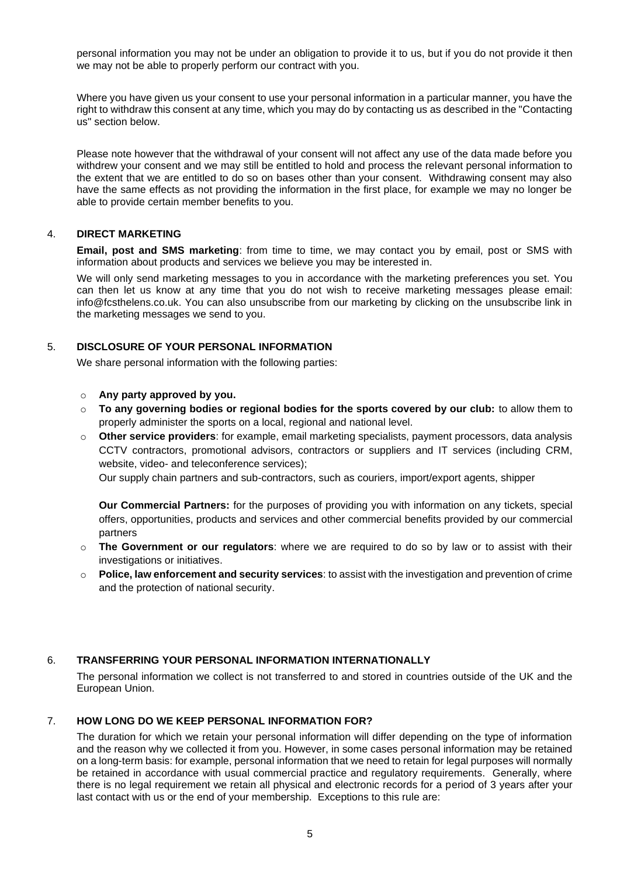personal information you may not be under an obligation to provide it to us, but if you do not provide it then we may not be able to properly perform our contract with you.

Where you have given us your consent to use your personal information in a particular manner, you have the right to withdraw this consent at any time, which you may do by contacting us as described in the "Contacting us" section below.

Please note however that the withdrawal of your consent will not affect any use of the data made before you withdrew your consent and we may still be entitled to hold and process the relevant personal information to the extent that we are entitled to do so on bases other than your consent. Withdrawing consent may also have the same effects as not providing the information in the first place, for example we may no longer be able to provide certain member benefits to you.

# 4. **DIRECT MARKETING**

**Email, post and SMS marketing**: from time to time, we may contact you by email, post or SMS with information about products and services we believe you may be interested in.

We will only send marketing messages to you in accordance with the marketing preferences you set. You can then let us know at any time that you do not wish to receive marketing messages please email: info@fcsthelens.co.uk. You can also unsubscribe from our marketing by clicking on the unsubscribe link in the marketing messages we send to you.

#### 5. **DISCLOSURE OF YOUR PERSONAL INFORMATION**

We share personal information with the following parties:

# o **Any party approved by you.**

- o **To any governing bodies or regional bodies for the sports covered by our club:** to allow them to properly administer the sports on a local, regional and national level.
- o **Other service providers**: for example, email marketing specialists, payment processors, data analysis CCTV contractors, promotional advisors, contractors or suppliers and IT services (including CRM, website, video- and teleconference services);

Our supply chain partners and sub-contractors, such as couriers, import/export agents, shipper

**Our Commercial Partners:** for the purposes of providing you with information on any tickets, special offers, opportunities, products and services and other commercial benefits provided by our commercial partners

- o **The Government or our regulators**: where we are required to do so by law or to assist with their investigations or initiatives.
- o **Police, law enforcement and security services**: to assist with the investigation and prevention of crime and the protection of national security.

#### 6. **TRANSFERRING YOUR PERSONAL INFORMATION INTERNATIONALLY**

The personal information we collect is not transferred to and stored in countries outside of the UK and the European Union.

#### 7. **HOW LONG DO WE KEEP PERSONAL INFORMATION FOR?**

The duration for which we retain your personal information will differ depending on the type of information and the reason why we collected it from you. However, in some cases personal information may be retained on a long-term basis: for example, personal information that we need to retain for legal purposes will normally be retained in accordance with usual commercial practice and regulatory requirements. Generally, where there is no legal requirement we retain all physical and electronic records for a period of 3 years after your last contact with us or the end of your membership. Exceptions to this rule are: